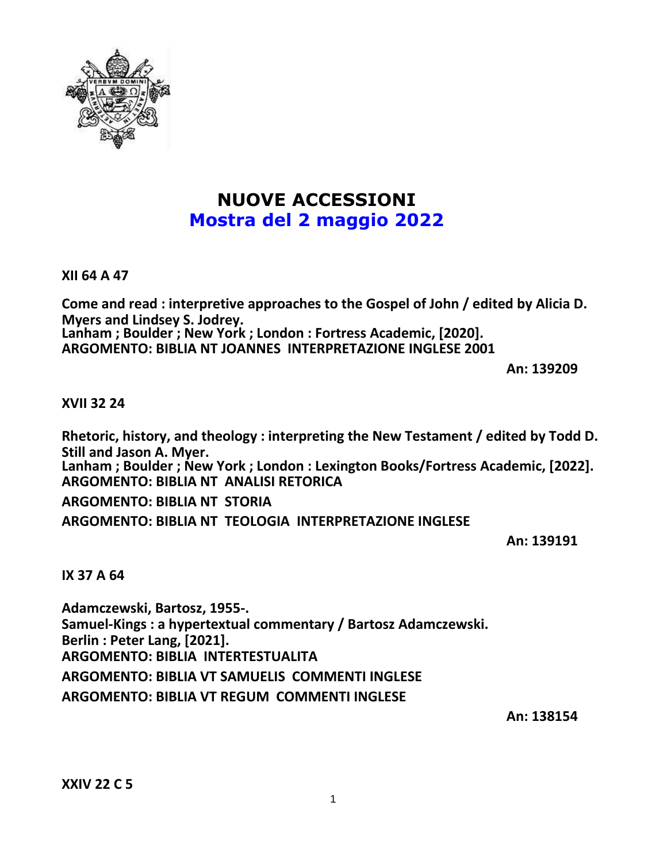

# **NUOVE ACCESSIONI Mostra del 2 maggio 2022**

**XII 64 A 47**

**Come and read : interpretive approaches to the Gospel of John / edited by Alicia D. Myers and Lindsey S. Jodrey. Lanham ; Boulder ; New York ; London : Fortress Academic, [2020]. ARGOMENTO: BIBLIA NT JOANNES INTERPRETAZIONE INGLESE 2001**

**An: 139209**

## **XVII 32 24**

**Rhetoric, history, and theology : interpreting the New Testament / edited by Todd D. Still and Jason A. Myer. Lanham ; Boulder ; New York ; London : Lexington Books/Fortress Academic, [2022]. ARGOMENTO: BIBLIA NT ANALISI RETORICA ARGOMENTO: BIBLIA NT STORIA**

**ARGOMENTO: BIBLIA NT TEOLOGIA INTERPRETAZIONE INGLESE**

**An: 139191**

**IX 37 A 64**

**Adamczewski, Bartosz, 1955-. Samuel-Kings : a hypertextual commentary / Bartosz Adamczewski. Berlin : Peter Lang, [2021]. ARGOMENTO: BIBLIA INTERTESTUALITA ARGOMENTO: BIBLIA VT SAMUELIS COMMENTI INGLESE ARGOMENTO: BIBLIA VT REGUM COMMENTI INGLESE**

**An: 138154**

**XXIV 22 C 5**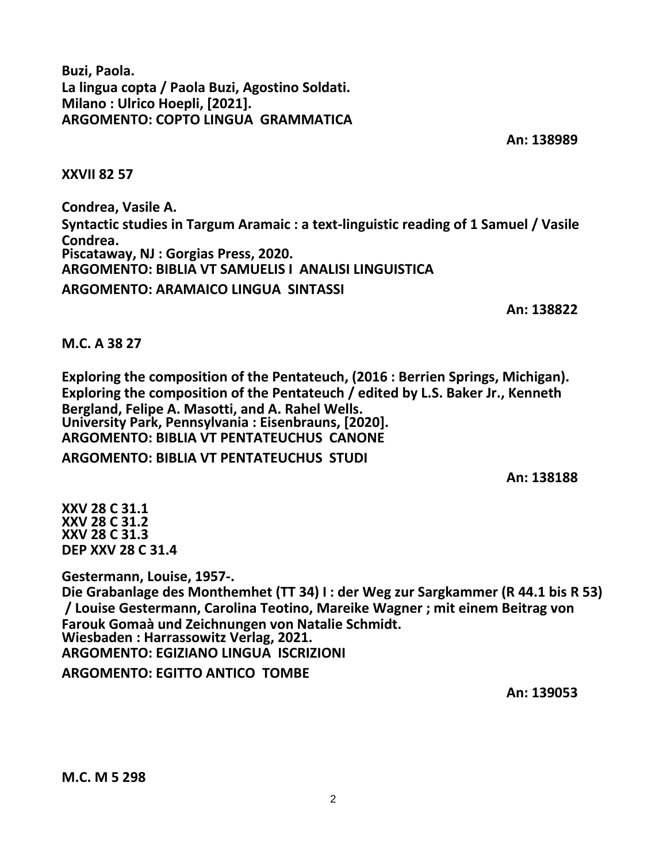**Buzi, Paola. La lingua copta / Paola Buzi, Agostino Soldati. Milano : Ulrico Hoepli, [2021]. ARGOMENTO: COPTO LINGUA GRAMMATICA**

**An: 138989**

**XXVII 82 57**

**Condrea, Vasile A. Syntactic studies in Targum Aramaic : a text-linguistic reading of 1 Samuel / Vasile Condrea. Piscataway, NJ : Gorgias Press, 2020. ARGOMENTO: BIBLIA VT SAMUELIS I ANALISI LINGUISTICA ARGOMENTO: ARAMAICO LINGUA SINTASSI**

**An: 138822**

**M.C. A 38 27**

**Exploring the composition of the Pentateuch, (2016 : Berrien Springs, Michigan). Exploring the composition of the Pentateuch / edited by L.S. Baker Jr., Kenneth Bergland, Felipe A. Masotti, and A. Rahel Wells. University Park, Pennsylvania : Eisenbrauns, [2020]. ARGOMENTO: BIBLIA VT PENTATEUCHUS CANONE ARGOMENTO: BIBLIA VT PENTATEUCHUS STUDI**

**An: 138188**

**XXV 28 C 31.1 XXV 28 C 31.2 XXV 28 C 31.3 DEP XXV 28 C 31.4**

**Gestermann, Louise, 1957-. Die Grabanlage des Monthemhet (TT 34) I : der Weg zur Sargkammer (R 44.1 bis R 53) / Louise Gestermann, Carolina Teotino, Mareike Wagner ; mit einem Beitrag von Farouk Gomaà und Zeichnungen von Natalie Schmidt. Wiesbaden : Harrassowitz Verlag, 2021. ARGOMENTO: EGIZIANO LINGUA ISCRIZIONI ARGOMENTO: EGITTO ANTICO TOMBE**

**An: 139053**

**M.C. M 5 298**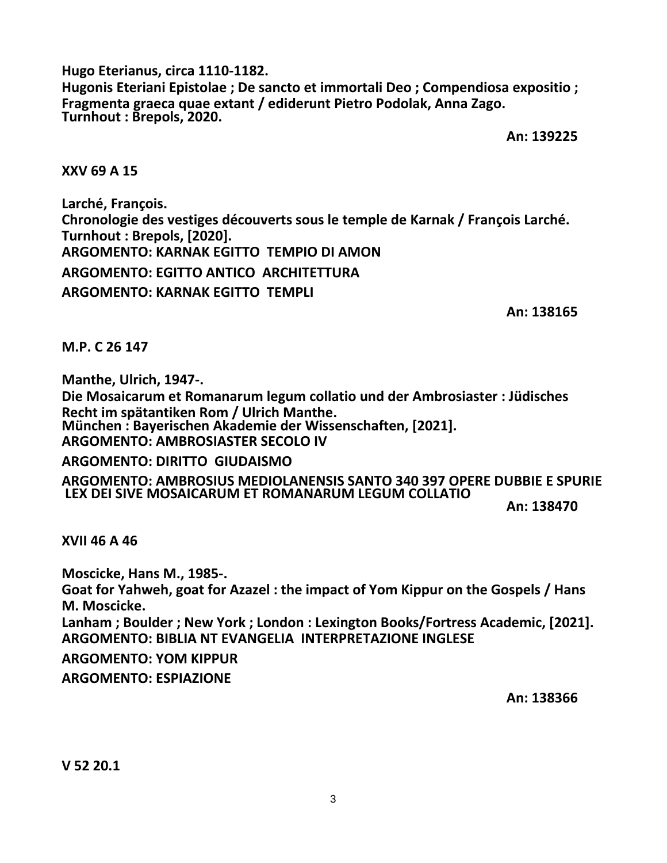**Hugo Eterianus, circa 1110-1182. Hugonis Eteriani Epistolae ; De sancto et immortali Deo ; Compendiosa expositio ; Fragmenta graeca quae extant / ediderunt Pietro Podolak, Anna Zago. Turnhout : Brepols, 2020.**

**An: 139225**

#### **XXV 69 A 15**

**Larché, François. Chronologie des vestiges découverts sous le temple de Karnak / François Larché. Turnhout : Brepols, [2020]. ARGOMENTO: KARNAK EGITTO TEMPIO DI AMON ARGOMENTO: EGITTO ANTICO ARCHITETTURA ARGOMENTO: KARNAK EGITTO TEMPLI**

**An: 138165**

**M.P. C 26 147**

**Manthe, Ulrich, 1947-.**

**Die Mosaicarum et Romanarum legum collatio und der Ambrosiaster : Jüdisches Recht im spätantiken Rom / Ulrich Manthe. München : Bayerischen Akademie der Wissenschaften, [2021]. ARGOMENTO: AMBROSIASTER SECOLO IV**

**ARGOMENTO: DIRITTO GIUDAISMO**

**ARGOMENTO: AMBROSIUS MEDIOLANENSIS SANTO 340 397 OPERE DUBBIE E SPURIE LEX DEI SIVE MOSAICARUM ET ROMANARUM LEGUM COLLATIO**

**An: 138470**

**XVII 46 A 46**

**Moscicke, Hans M., 1985-. Goat for Yahweh, goat for Azazel : the impact of Yom Kippur on the Gospels / Hans M. Moscicke. Lanham ; Boulder ; New York ; London : Lexington Books/Fortress Academic, [2021]. ARGOMENTO: BIBLIA NT EVANGELIA INTERPRETAZIONE INGLESE ARGOMENTO: YOM KIPPUR ARGOMENTO: ESPIAZIONE**

**An: 138366**

**V 52 20.1**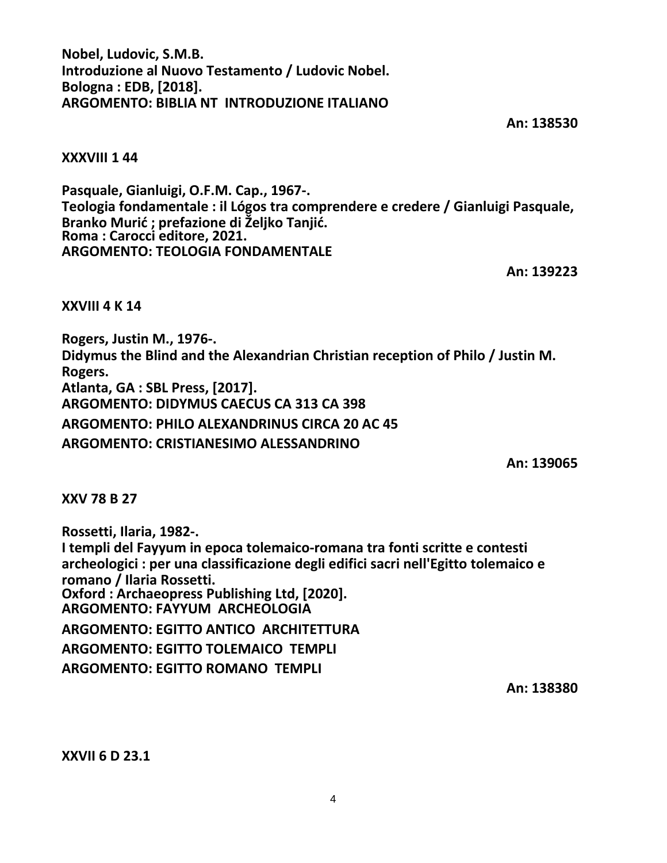**Nobel, Ludovic, S.M.B. Introduzione al Nuovo Testamento / Ludovic Nobel. Bologna : EDB, [2018]. ARGOMENTO: BIBLIA NT INTRODUZIONE ITALIANO**

**An: 138530**

#### **XXXVIII 1 44**

**Pasquale, Gianluigi, O.F.M. Cap., 1967-. Teologia fondamentale : il Lógos tra comprendere e credere / Gianluigi Pasquale, Branko Murić ; prefazione di Željko Tanjić. Roma : Carocci editore, 2021. ARGOMENTO: TEOLOGIA FONDAMENTALE**

**An: 139223**

**XXVIII 4 K 14**

**Rogers, Justin M., 1976-. Didymus the Blind and the Alexandrian Christian reception of Philo / Justin M. Rogers. Atlanta, GA : SBL Press, [2017]. ARGOMENTO: DIDYMUS CAECUS CA 313 CA 398 ARGOMENTO: PHILO ALEXANDRINUS CIRCA 20 AC 45 ARGOMENTO: CRISTIANESIMO ALESSANDRINO**

**An: 139065**

**XXV 78 B 27**

**Rossetti, Ilaria, 1982-. I templi del Fayyum in epoca tolemaico-romana tra fonti scritte e contesti archeologici : per una classificazione degli edifici sacri nell'Egitto tolemaico e romano / Ilaria Rossetti. Oxford : Archaeopress Publishing Ltd, [2020]. ARGOMENTO: FAYYUM ARCHEOLOGIA ARGOMENTO: EGITTO ANTICO ARCHITETTURA ARGOMENTO: EGITTO TOLEMAICO TEMPLI ARGOMENTO: EGITTO ROMANO TEMPLI**

**An: 138380**

**XXVII 6 D 23.1**